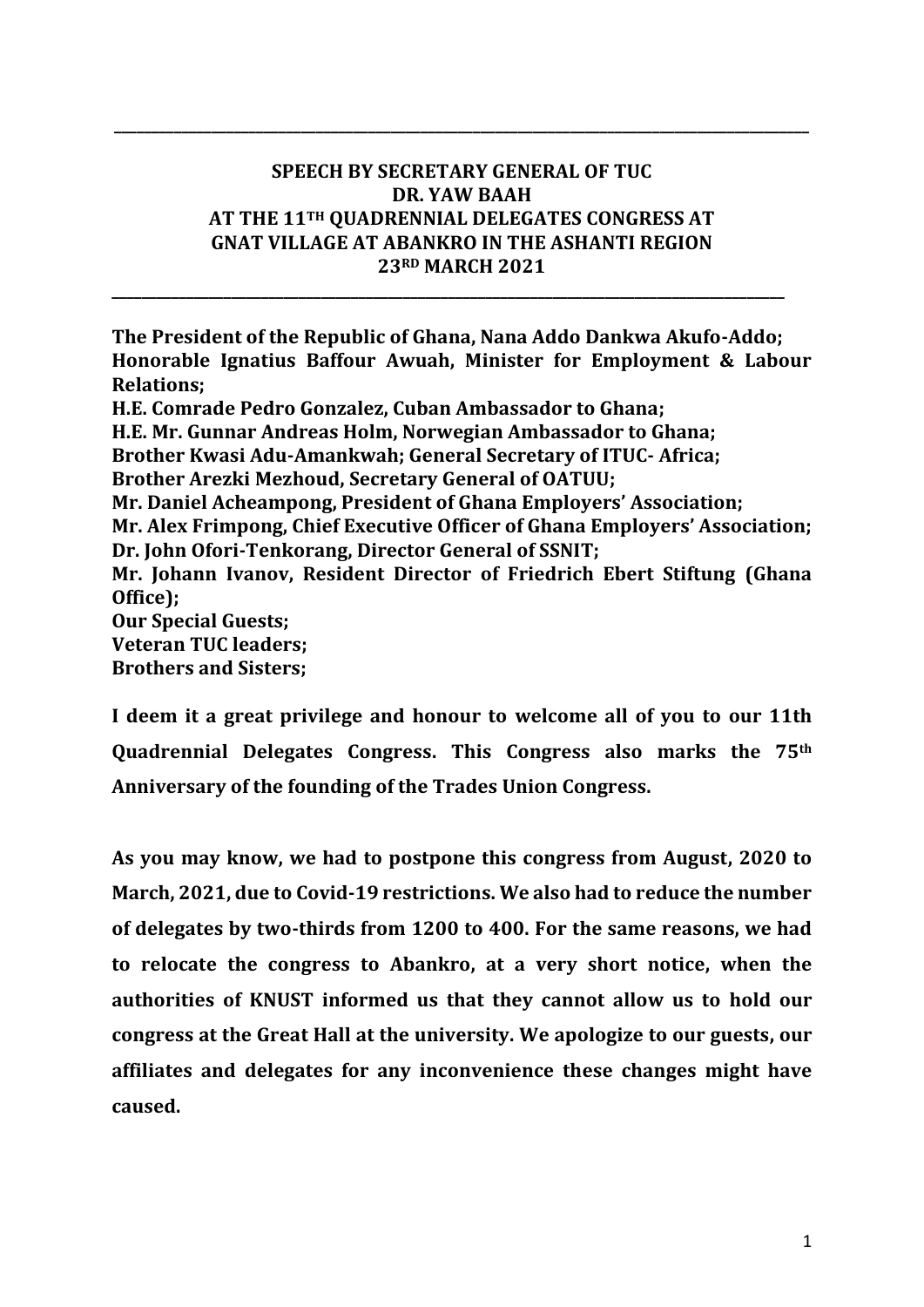## **SPEECH BY SECRETARY GENERAL OF TUC DR. YAW BAAH AT THE 11TH QUADRENNIAL DELEGATES CONGRESS AT GNAT VILLAGE AT ABANKRO IN THE ASHANTI REGION 23RD MARCH 2021**

**\_\_\_\_\_\_\_\_\_\_\_\_\_\_\_\_\_\_\_\_\_\_\_\_\_\_\_\_\_\_\_\_\_\_\_\_\_\_\_\_\_\_\_\_\_\_\_\_\_\_\_\_\_\_\_\_\_\_\_\_\_\_\_\_\_\_\_\_\_\_\_\_\_\_\_\_\_\_\_\_\_\_\_\_\_\_\_\_\_\_**

**\_\_\_\_\_\_\_\_\_\_\_\_\_\_\_\_\_\_\_\_\_\_\_\_\_\_\_\_\_\_\_\_\_\_\_\_\_\_\_\_\_\_\_\_\_\_\_\_\_\_\_\_\_\_\_\_\_\_\_\_\_\_\_\_\_\_\_\_\_\_\_\_\_\_\_\_\_\_\_\_\_\_\_\_\_\_\_\_\_\_\_\_\_**

**The President of the Republic of Ghana, Nana Addo Dankwa Akufo-Addo; Honorable Ignatius Baffour Awuah, Minister for Employment & Labour Relations; H.E. Comrade Pedro Gonzalez, Cuban Ambassador to Ghana; H.E. Mr. Gunnar Andreas Holm, Norwegian Ambassador to Ghana; Brother Kwasi Adu-Amankwah; General Secretary of ITUC- Africa; Brother Arezki Mezhoud, Secretary General of OATUU; Mr. Daniel Acheampong, President of Ghana Employers' Association; Mr. Alex Frimpong, Chief Executive Officer of Ghana Employers' Association; Dr. John Ofori-Tenkorang, Director General of SSNIT; Mr. Johann Ivanov, Resident Director of Friedrich Ebert Stiftung (Ghana Office); Our Special Guests; Veteran TUC leaders; Brothers and Sisters;**

**I deem it a great privilege and honour to welcome all of you to our 11th Quadrennial Delegates Congress. This Congress also marks the 75th Anniversary of the founding of the Trades Union Congress.** 

**As you may know, we had to postpone this congress from August, 2020 to March, 2021, due to Covid-19 restrictions. We also had to reduce the number of delegates by two-thirds from 1200 to 400. For the same reasons, we had to relocate the congress to Abankro, at a very short notice, when the authorities of KNUST informed us that they cannot allow us to hold our congress at the Great Hall at the university. We apologize to our guests, our affiliates and delegates for any inconvenience these changes might have caused.**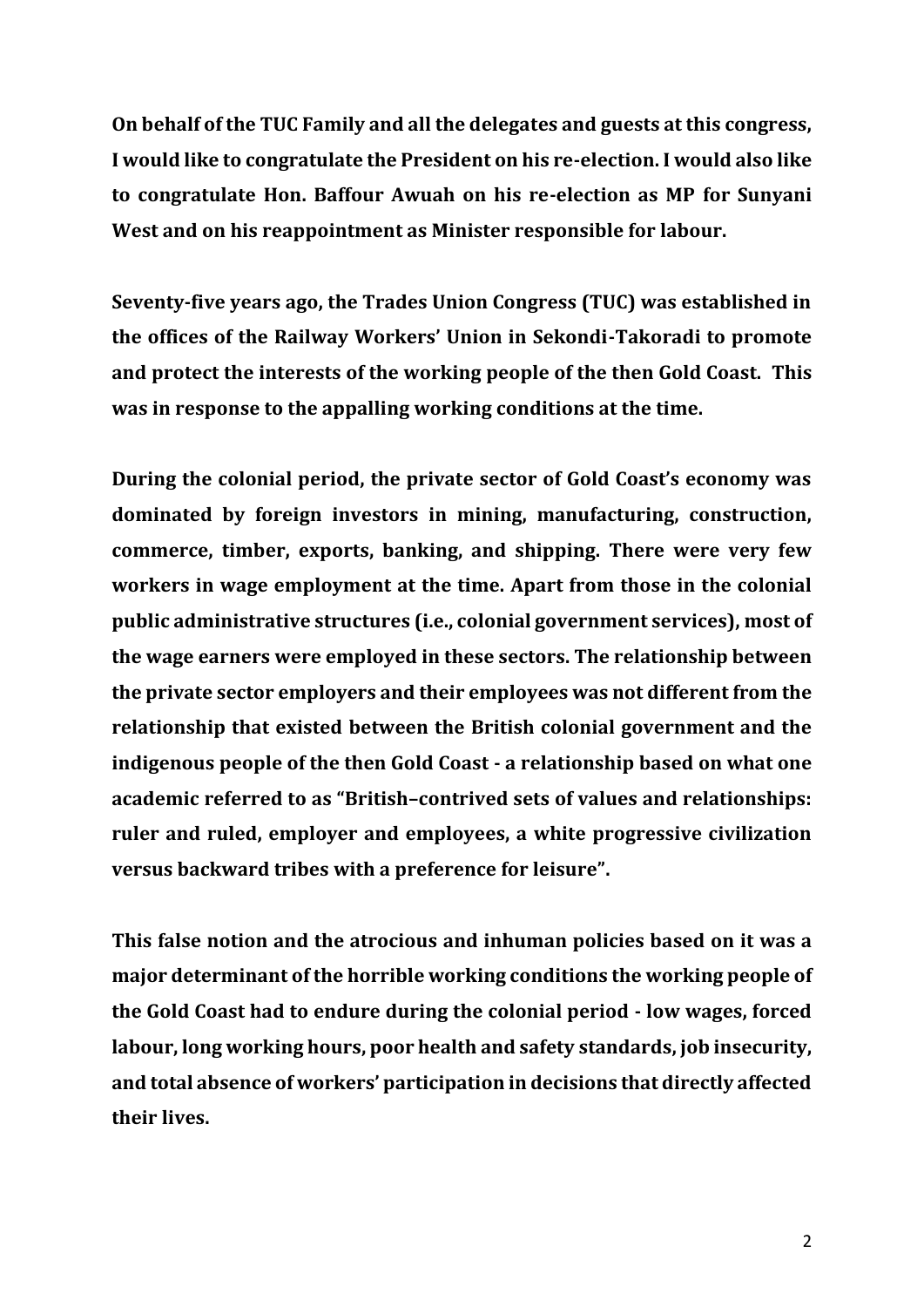**On behalf of the TUC Family and all the delegates and guests at this congress, I would like to congratulate the President on his re-election. I would also like to congratulate Hon. Baffour Awuah on his re-election as MP for Sunyani West and on his reappointment as Minister responsible for labour.** 

**Seventy-five years ago, the Trades Union Congress (TUC) was established in the offices of the Railway Workers' Union in Sekondi-Takoradi to promote and protect the interests of the working people of the then Gold Coast. This was in response to the appalling working conditions at the time.** 

**During the colonial period, the private sector of Gold Coast's economy was dominated by foreign investors in mining, manufacturing, construction, commerce, timber, exports, banking, and shipping. There were very few workers in wage employment at the time. Apart from those in the colonial public administrative structures (i.e., colonial government services), most of the wage earners were employed in these sectors. The relationship between the private sector employers and their employees was not different from the relationship that existed between the British colonial government and the indigenous people of the then Gold Coast - a relationship based on what one academic referred to as "British–contrived sets of values and relationships: ruler and ruled, employer and employees, a white progressive civilization versus backward tribes with a preference for leisure".** 

**This false notion and the atrocious and inhuman policies based on it was a major determinant of the horrible working conditions the working people of the Gold Coast had to endure during the colonial period - low wages, forced labour, long working hours, poor health and safety standards, job insecurity, and total absence of workers' participation in decisions that directly affected their lives.**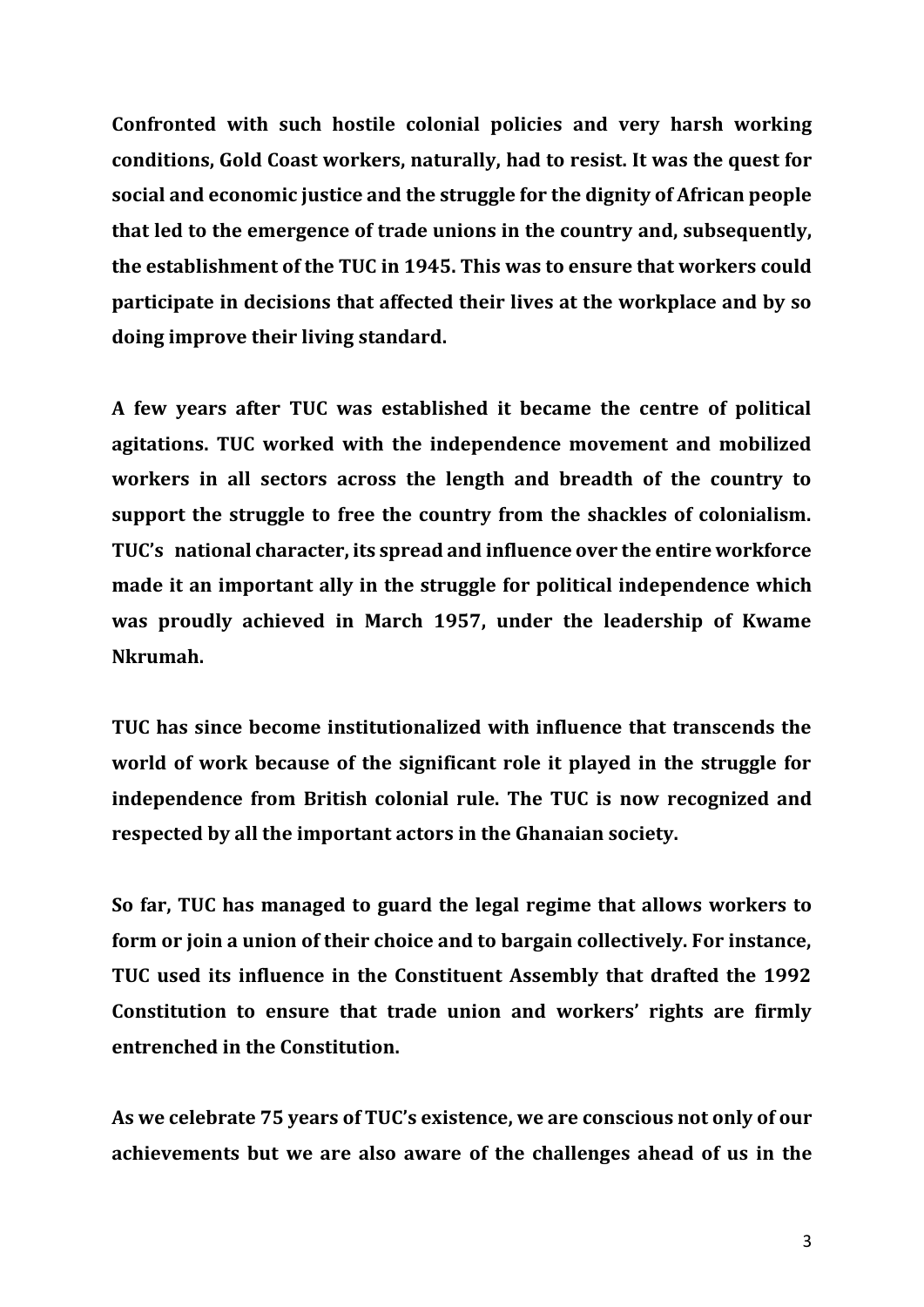**Confronted with such hostile colonial policies and very harsh working conditions, Gold Coast workers, naturally, had to resist. It was the quest for social and economic justice and the struggle for the dignity of African people that led to the emergence of trade unions in the country and, subsequently, the establishment of the TUC in 1945. This was to ensure that workers could participate in decisions that affected their lives at the workplace and by so doing improve their living standard.**

**A few years after TUC was established it became the centre of political agitations. TUC worked with the independence movement and mobilized workers in all sectors across the length and breadth of the country to support the struggle to free the country from the shackles of colonialism. TUC's national character, its spread and influence over the entire workforce made it an important ally in the struggle for political independence which was proudly achieved in March 1957, under the leadership of Kwame Nkrumah.** 

**TUC has since become institutionalized with influence that transcends the world of work because of the significant role it played in the struggle for independence from British colonial rule. The TUC is now recognized and respected by all the important actors in the Ghanaian society.** 

**So far, TUC has managed to guard the legal regime that allows workers to form or join a union of their choice and to bargain collectively. For instance, TUC used its influence in the Constituent Assembly that drafted the 1992 Constitution to ensure that trade union and workers' rights are firmly entrenched in the Constitution.** 

**As we celebrate 75 years of TUC's existence, we are conscious not only of our achievements but we are also aware of the challenges ahead of us in the**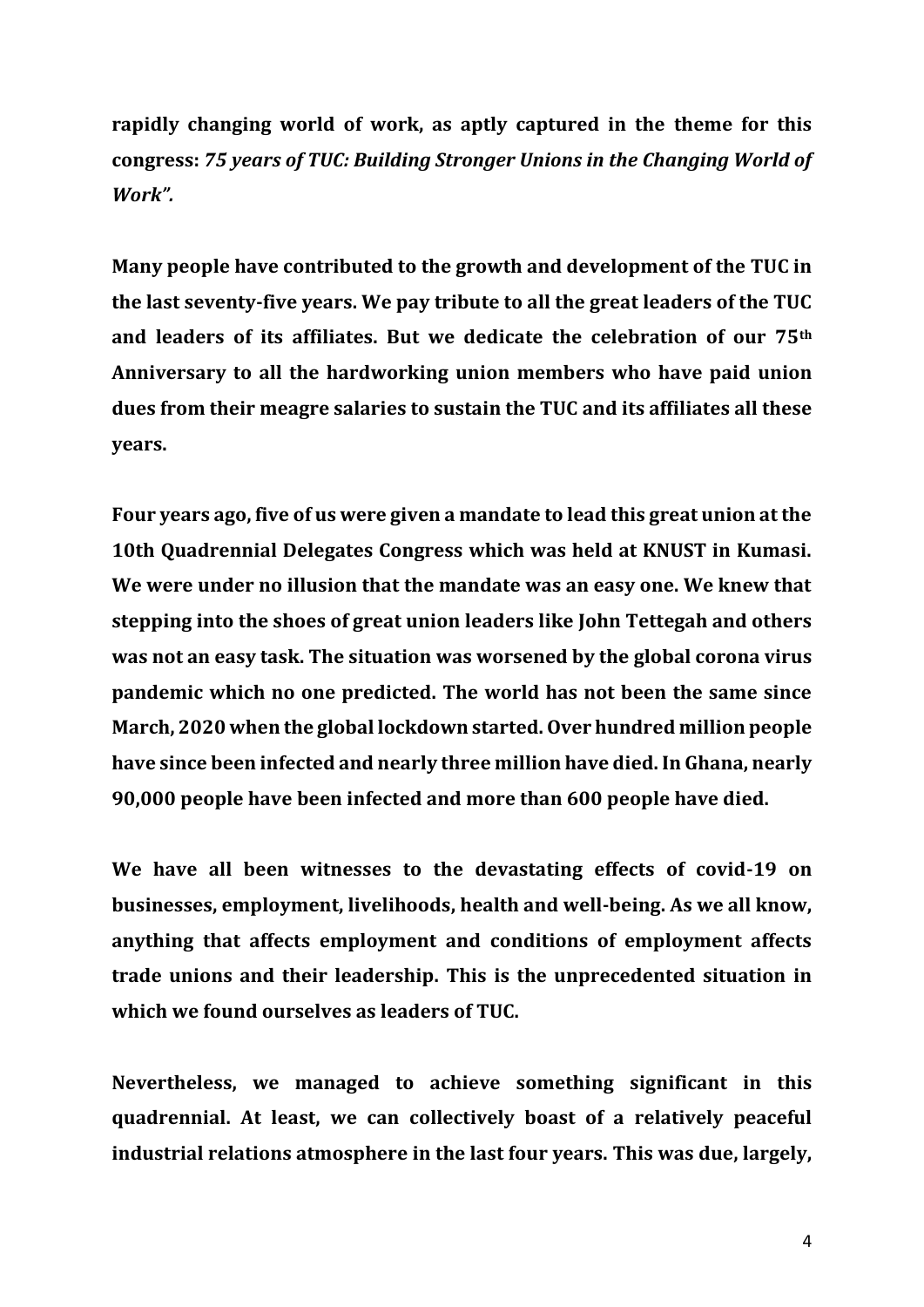**rapidly changing world of work, as aptly captured in the theme for this congress:** *75 years of TUC: Building Stronger Unions in the Changing World of Work".* 

**Many people have contributed to the growth and development of the TUC in the last seventy-five years. We pay tribute to all the great leaders of the TUC and leaders of its affiliates. But we dedicate the celebration of our 75th Anniversary to all the hardworking union members who have paid union dues from their meagre salaries to sustain the TUC and its affiliates all these years.** 

**Four years ago, five of us were given a mandate to lead this great union at the 10th Quadrennial Delegates Congress which was held at KNUST in Kumasi. We were under no illusion that the mandate was an easy one. We knew that stepping into the shoes of great union leaders like John Tettegah and others was not an easy task. The situation was worsened by the global corona virus pandemic which no one predicted. The world has not been the same since March, 2020 when the global lockdown started. Over hundred million people have since been infected and nearly three million have died. In Ghana, nearly 90,000 people have been infected and more than 600 people have died.** 

**We have all been witnesses to the devastating effects of covid-19 on businesses, employment, livelihoods, health and well-being. As we all know, anything that affects employment and conditions of employment affects trade unions and their leadership. This is the unprecedented situation in which we found ourselves as leaders of TUC.** 

**Nevertheless, we managed to achieve something significant in this quadrennial. At least, we can collectively boast of a relatively peaceful industrial relations atmosphere in the last four years. This was due, largely,**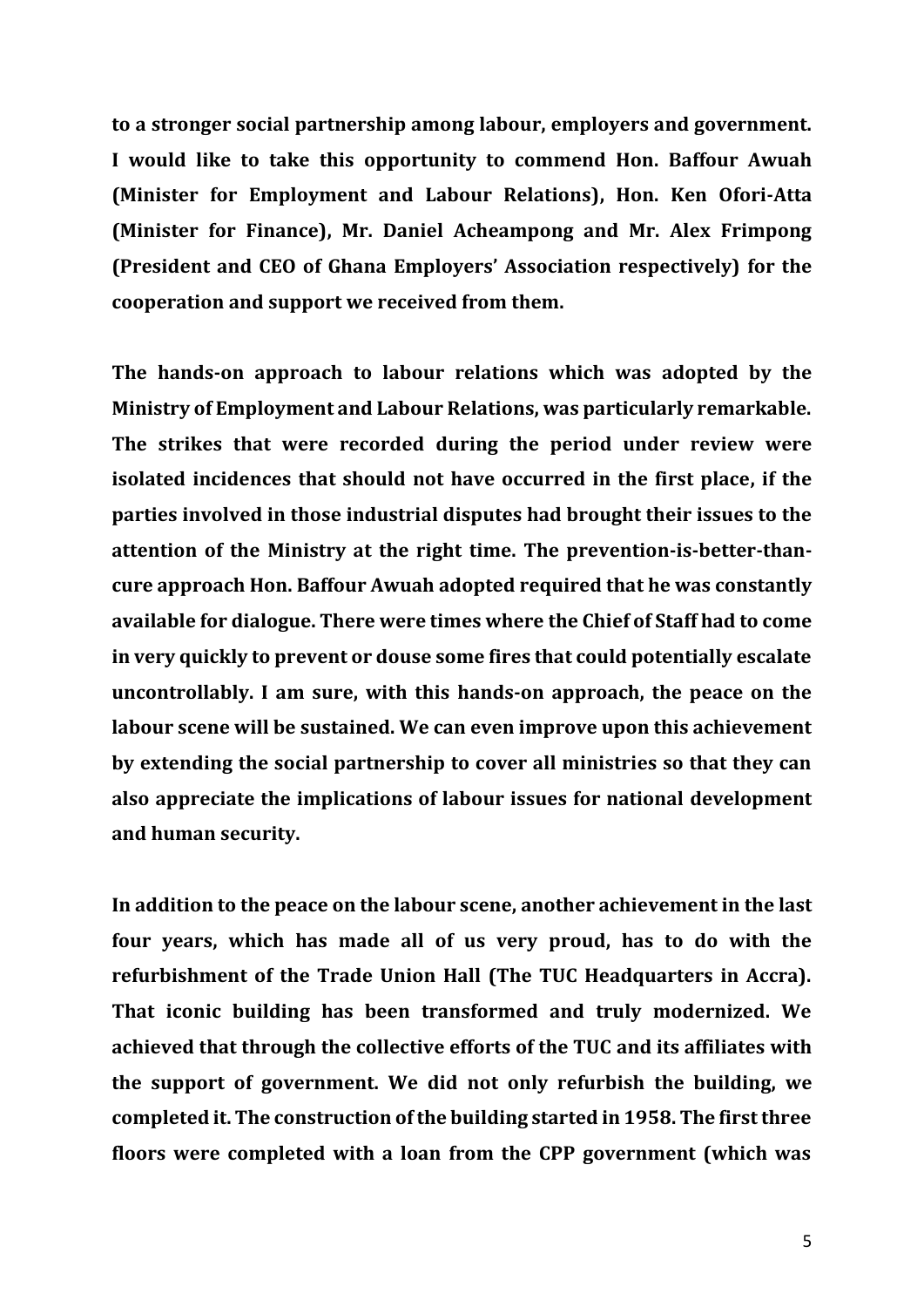**to a stronger social partnership among labour, employers and government. I would like to take this opportunity to commend Hon. Baffour Awuah (Minister for Employment and Labour Relations), Hon. Ken Ofori-Atta (Minister for Finance), Mr. Daniel Acheampong and Mr. Alex Frimpong (President and CEO of Ghana Employers' Association respectively) for the cooperation and support we received from them.** 

**The hands-on approach to labour relations which was adopted by the Ministry of Employment and Labour Relations, was particularly remarkable. The strikes that were recorded during the period under review were isolated incidences that should not have occurred in the first place, if the parties involved in those industrial disputes had brought their issues to the attention of the Ministry at the right time. The prevention-is-better-thancure approach Hon. Baffour Awuah adopted required that he was constantly available for dialogue. There were times where the Chief of Staff had to come in very quickly to prevent or douse some fires that could potentially escalate uncontrollably. I am sure, with this hands-on approach, the peace on the labour scene will be sustained. We can even improve upon this achievement by extending the social partnership to cover all ministries so that they can also appreciate the implications of labour issues for national development and human security.** 

**In addition to the peace on the labour scene, another achievement in the last four years, which has made all of us very proud, has to do with the refurbishment of the Trade Union Hall (The TUC Headquarters in Accra). That iconic building has been transformed and truly modernized. We achieved that through the collective efforts of the TUC and its affiliates with the support of government. We did not only refurbish the building, we completed it. The construction of the building started in 1958. The first three floors were completed with a loan from the CPP government (which was**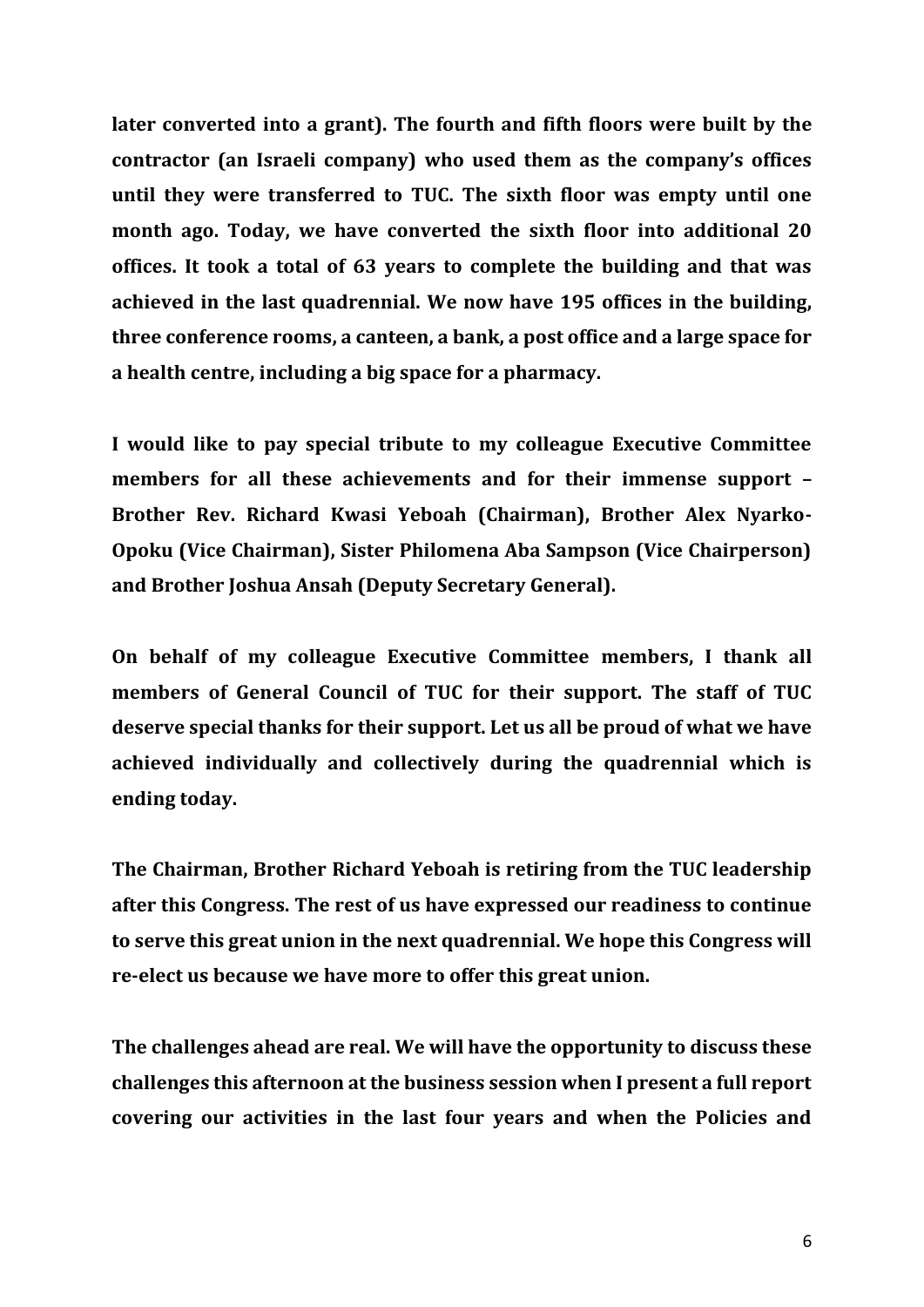**later converted into a grant). The fourth and fifth floors were built by the contractor (an Israeli company) who used them as the company's offices until they were transferred to TUC. The sixth floor was empty until one month ago. Today, we have converted the sixth floor into additional 20 offices. It took a total of 63 years to complete the building and that was achieved in the last quadrennial. We now have 195 offices in the building, three conference rooms, a canteen, a bank, a post office and a large space for a health centre, including a big space for a pharmacy.** 

**I would like to pay special tribute to my colleague Executive Committee members for all these achievements and for their immense support – Brother Rev. Richard Kwasi Yeboah (Chairman), Brother Alex Nyarko-Opoku (Vice Chairman), Sister Philomena Aba Sampson (Vice Chairperson) and Brother Joshua Ansah (Deputy Secretary General).** 

**On behalf of my colleague Executive Committee members, I thank all members of General Council of TUC for their support. The staff of TUC deserve special thanks for their support. Let us all be proud of what we have achieved individually and collectively during the quadrennial which is ending today.** 

**The Chairman, Brother Richard Yeboah is retiring from the TUC leadership after this Congress. The rest of us have expressed our readiness to continue to serve this great union in the next quadrennial. We hope this Congress will re-elect us because we have more to offer this great union.** 

**The challenges ahead are real. We will have the opportunity to discuss these challenges this afternoon at the business session when I present a full report covering our activities in the last four years and when the Policies and**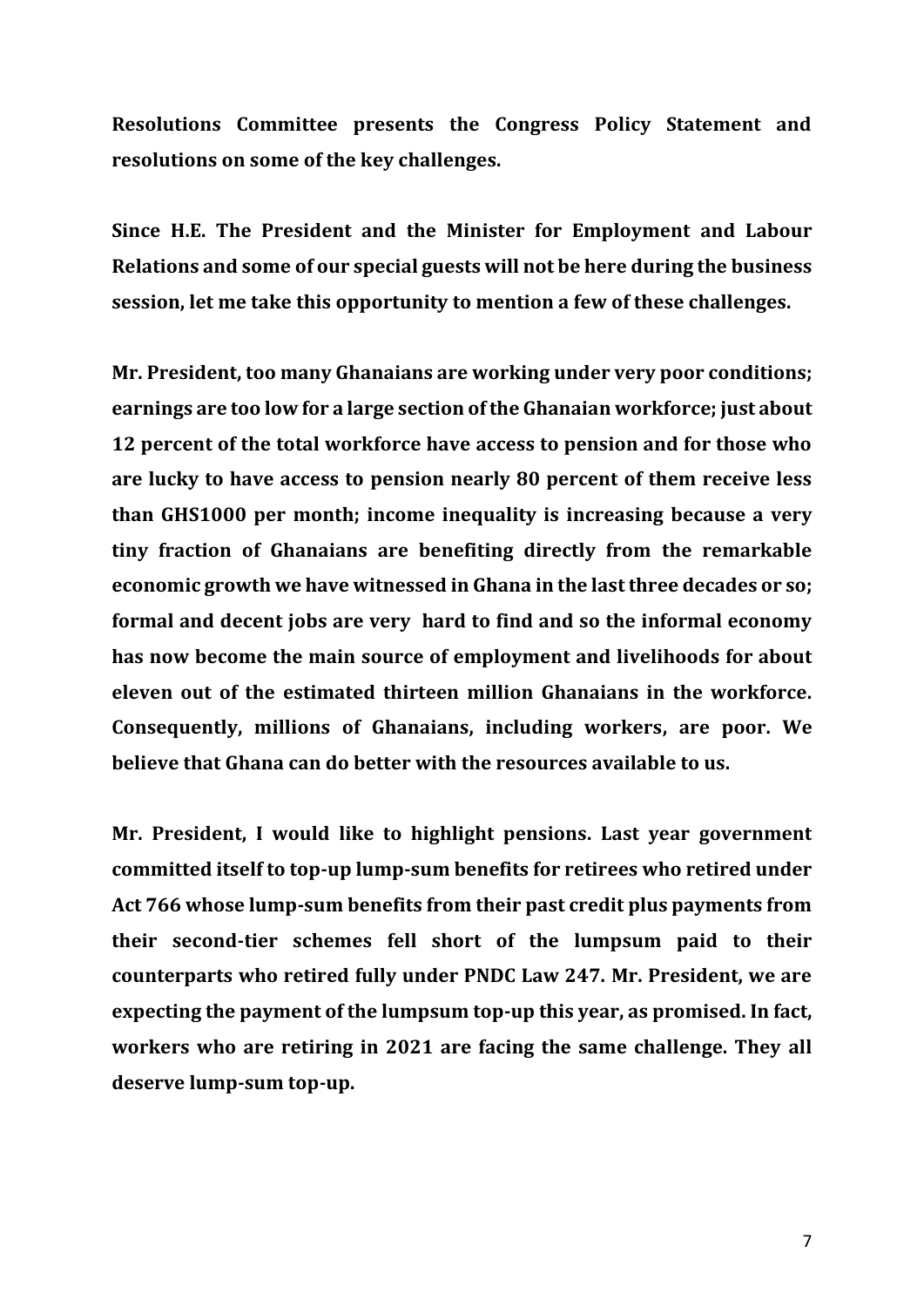**Resolutions Committee presents the Congress Policy Statement and resolutions on some of the key challenges.** 

**Since H.E. The President and the Minister for Employment and Labour Relations and some of our special guests will not be here during the business session, let me take this opportunity to mention a few of these challenges.**

**Mr. President, too many Ghanaians are working under very poor conditions; earnings are too low for a large section of the Ghanaian workforce; just about 12 percent of the total workforce have access to pension and for those who are lucky to have access to pension nearly 80 percent of them receive less than GHS1000 per month; income inequality is increasing because a very tiny fraction of Ghanaians are benefiting directly from the remarkable economic growth we have witnessed in Ghana in the last three decades or so; formal and decent jobs are very hard to find and so the informal economy has now become the main source of employment and livelihoods for about eleven out of the estimated thirteen million Ghanaians in the workforce. Consequently, millions of Ghanaians, including workers, are poor. We believe that Ghana can do better with the resources available to us.** 

**Mr. President, I would like to highlight pensions. Last year government committed itself to top-up lump-sum benefits for retirees who retired under Act 766 whose lump-sum benefits from their past credit plus payments from their second-tier schemes fell short of the lumpsum paid to their counterparts who retired fully under PNDC Law 247. Mr. President, we are expecting the payment of the lumpsum top-up this year, as promised. In fact, workers who are retiring in 2021 are facing the same challenge. They all deserve lump-sum top-up.**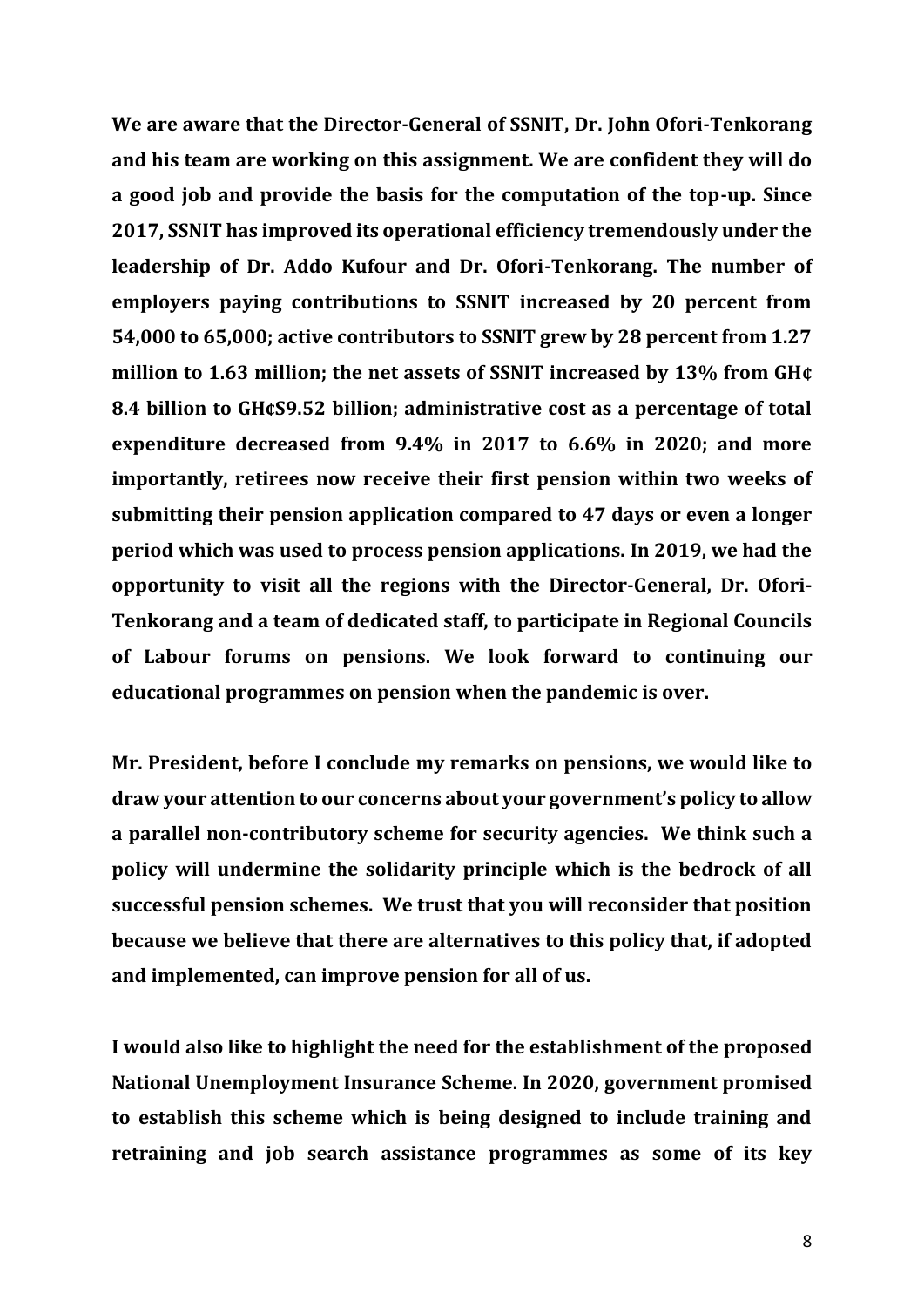**We are aware that the Director-General of SSNIT, Dr. John Ofori-Tenkorang and his team are working on this assignment. We are confident they will do a good job and provide the basis for the computation of the top-up. Since 2017, SSNIT has improved its operational efficiency tremendously under the leadership of Dr. Addo Kufour and Dr. Ofori-Tenkorang. The number of employers paying contributions to SSNIT increased by 20 percent from 54,000 to 65,000; active contributors to SSNIT grew by 28 percent from 1.27 million to 1.63 million; the net assets of SSNIT increased by 13% from GH¢ 8.4 billion to GH¢S9.52 billion; administrative cost as a percentage of total expenditure decreased from 9.4% in 2017 to 6.6% in 2020; and more importantly, retirees now receive their first pension within two weeks of submitting their pension application compared to 47 days or even a longer period which was used to process pension applications. In 2019, we had the opportunity to visit all the regions with the Director-General, Dr. Ofori-Tenkorang and a team of dedicated staff, to participate in Regional Councils of Labour forums on pensions. We look forward to continuing our educational programmes on pension when the pandemic is over.** 

**Mr. President, before I conclude my remarks on pensions, we would like to draw your attention to our concerns about your government's policy to allow a parallel non-contributory scheme for security agencies. We think such a policy will undermine the solidarity principle which is the bedrock of all successful pension schemes. We trust that you will reconsider that position because we believe that there are alternatives to this policy that, if adopted and implemented, can improve pension for all of us.** 

**I would also like to highlight the need for the establishment of the proposed National Unemployment Insurance Scheme. In 2020, government promised to establish this scheme which is being designed to include training and retraining and job search assistance programmes as some of its key**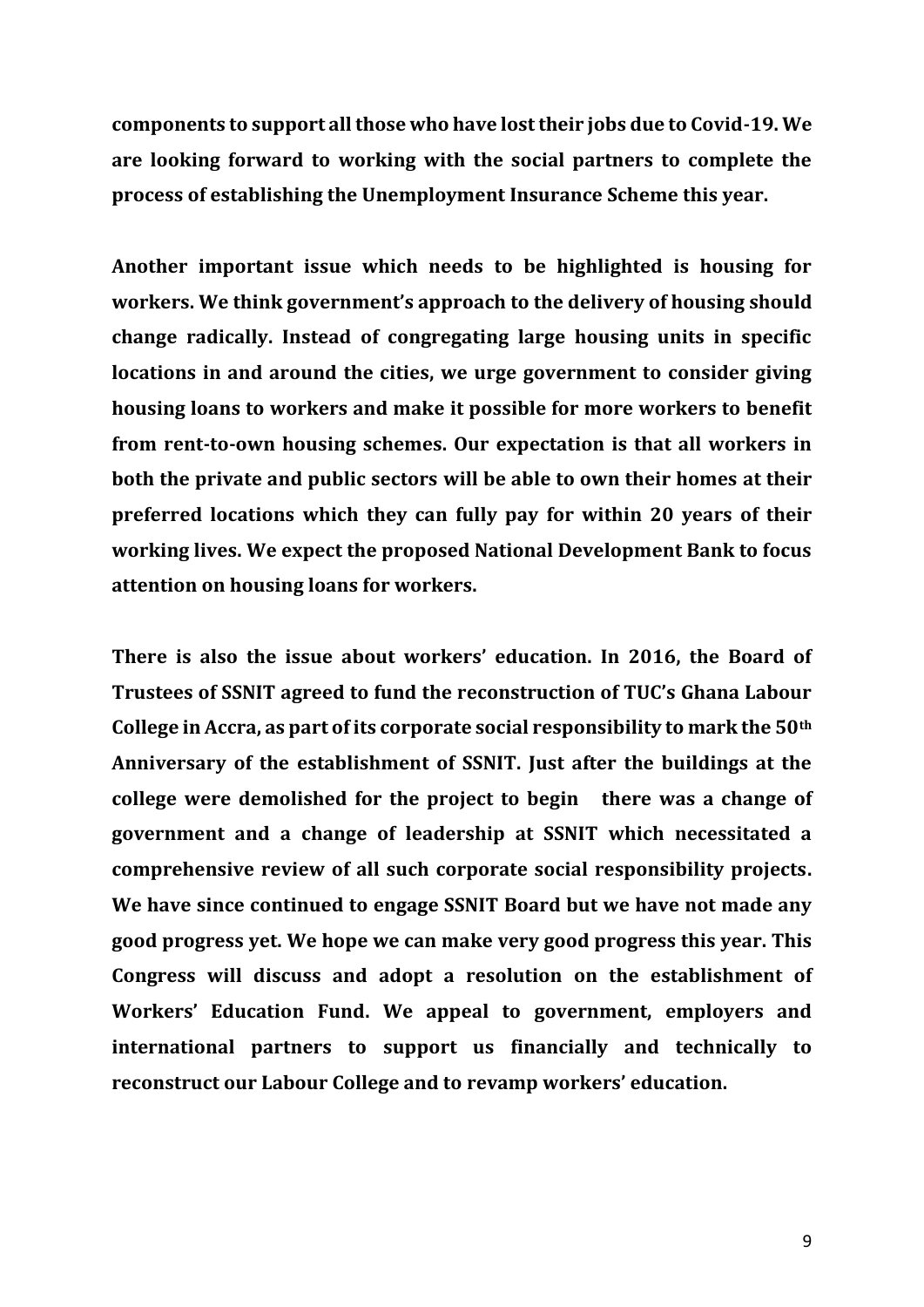**components to support all those who have lost their jobs due to Covid-19. We are looking forward to working with the social partners to complete the process of establishing the Unemployment Insurance Scheme this year.** 

**Another important issue which needs to be highlighted is housing for workers. We think government's approach to the delivery of housing should change radically. Instead of congregating large housing units in specific locations in and around the cities, we urge government to consider giving housing loans to workers and make it possible for more workers to benefit from rent-to-own housing schemes. Our expectation is that all workers in both the private and public sectors will be able to own their homes at their preferred locations which they can fully pay for within 20 years of their working lives. We expect the proposed National Development Bank to focus attention on housing loans for workers.** 

**There is also the issue about workers' education. In 2016, the Board of Trustees of SSNIT agreed to fund the reconstruction of TUC's Ghana Labour College in Accra, as part of its corporate social responsibility to mark the 50th Anniversary of the establishment of SSNIT. Just after the buildings at the college were demolished for the project to begin there was a change of government and a change of leadership at SSNIT which necessitated a comprehensive review of all such corporate social responsibility projects. We have since continued to engage SSNIT Board but we have not made any good progress yet. We hope we can make very good progress this year. This Congress will discuss and adopt a resolution on the establishment of Workers' Education Fund. We appeal to government, employers and international partners to support us financially and technically to reconstruct our Labour College and to revamp workers' education.**